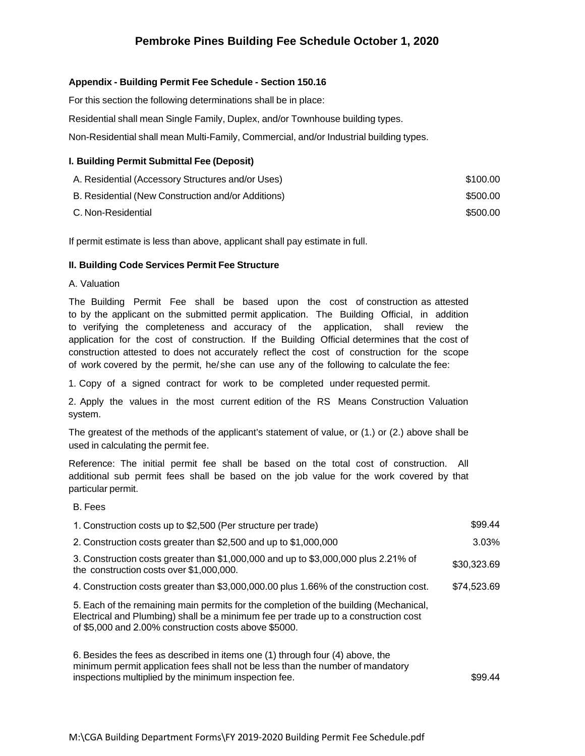# **Pembroke Pines Building Fee Schedule October 1, 2020**

#### **Appendix - Building Permit Fee Schedule - Section 150.16**

For this section the following determinations shall be in place:

Residential shall mean Single Family, Duplex, and/or Townhouse building types.

Non-Residential shall mean Multi-Family, Commercial, and/or Industrial building types.

#### **I. Building Permit Submittal Fee (Deposit)**

| A. Residential (Accessory Structures and/or Uses)  | \$100.00 |
|----------------------------------------------------|----------|
| B. Residential (New Construction and/or Additions) | \$500.00 |
| C. Non-Residential                                 | \$500.00 |

If permit estimate is less than above, applicant shall pay estimate in full.

#### **II. Building Code Services Permit Fee Structure**

A. Valuation

The Building Permit Fee shall be based upon the cost of construction as attested to by the applicant on the submitted permit application. The Building Official, in addition to verifying the completeness and accuracy of the application, shall review the application for the cost of construction. If the Building Official determines that the cost of construction attested to does not accurately reflect the cost of construction for the scope of work covered by the permit, he/ she can use any of the following to calculate the fee:

1. Copy of a signed contract for work to be completed under requested permit.

2. Apply the values in the most current edition of the RS Means Construction Valuation system.

The greatest of the methods of the applicant's statement of value, or (1.) or (2.) above shall be used in calculating the permit fee.

Reference: The initial permit fee shall be based on the total cost of construction. All additional sub permit fees shall be based on the job value for the work covered by that particular permit.

B. Fees

| 1. Construction costs up to \$2,500 (Per structure per trade)                                                                                                                                                                         | \$99.44     |
|---------------------------------------------------------------------------------------------------------------------------------------------------------------------------------------------------------------------------------------|-------------|
| 2. Construction costs greater than \$2,500 and up to \$1,000,000                                                                                                                                                                      | 3.03%       |
| 3. Construction costs greater than \$1,000,000 and up to \$3,000,000 plus 2.21% of<br>the construction costs over \$1,000,000.                                                                                                        | \$30,323.69 |
| 4. Construction costs greater than \$3,000,000.00 plus 1.66% of the construction cost.                                                                                                                                                | \$74,523.69 |
| 5. Each of the remaining main permits for the completion of the building (Mechanical,<br>Electrical and Plumbing) shall be a minimum fee per trade up to a construction cost<br>of \$5,000 and 2.00% construction costs above \$5000. |             |

6. Besides the fees as described in items one (1) through four (4) above, the minimum permit application fees shall not be less than the number of mandatory inspections multiplied by the minimum inspection fee. \$99.44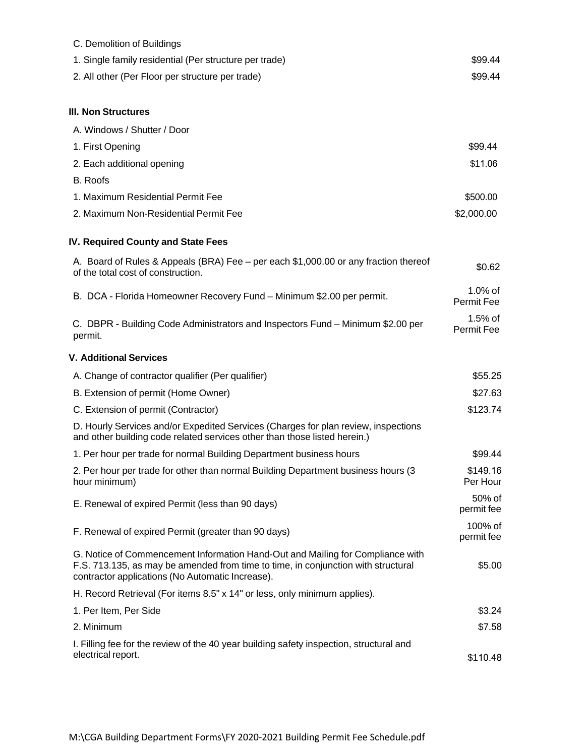| C. Demolition of Buildings                                                                                                                                                                                              |                          |
|-------------------------------------------------------------------------------------------------------------------------------------------------------------------------------------------------------------------------|--------------------------|
| 1. Single family residential (Per structure per trade)                                                                                                                                                                  | \$99.44                  |
| 2. All other (Per Floor per structure per trade)                                                                                                                                                                        | \$99.44                  |
| <b>III. Non Structures</b>                                                                                                                                                                                              |                          |
| A. Windows / Shutter / Door                                                                                                                                                                                             |                          |
| 1. First Opening                                                                                                                                                                                                        | \$99.44                  |
| 2. Each additional opening                                                                                                                                                                                              | \$11.06                  |
| <b>B.</b> Roofs                                                                                                                                                                                                         |                          |
| 1. Maximum Residential Permit Fee                                                                                                                                                                                       | \$500.00                 |
| 2. Maximum Non-Residential Permit Fee                                                                                                                                                                                   | \$2,000.00               |
| IV. Required County and State Fees                                                                                                                                                                                      |                          |
| A. Board of Rules & Appeals (BRA) Fee – per each \$1,000.00 or any fraction thereof<br>of the total cost of construction.                                                                                               | \$0.62                   |
| B. DCA - Florida Homeowner Recovery Fund - Minimum \$2.00 per permit.                                                                                                                                                   | $1.0\%$ of<br>Permit Fee |
| C. DBPR - Building Code Administrators and Inspectors Fund - Minimum \$2.00 per<br>permit.                                                                                                                              | $1.5%$ of<br>Permit Fee  |
| <b>V. Additional Services</b>                                                                                                                                                                                           |                          |
| A. Change of contractor qualifier (Per qualifier)                                                                                                                                                                       | \$55.25                  |
| B. Extension of permit (Home Owner)                                                                                                                                                                                     | \$27.63                  |
| C. Extension of permit (Contractor)                                                                                                                                                                                     | \$123.74                 |
| D. Hourly Services and/or Expedited Services (Charges for plan review, inspections<br>and other building code related services other than those listed herein.)                                                         |                          |
| 1. Per hour per trade for normal Building Department business hours                                                                                                                                                     | \$99.44                  |
| 2. Per hour per trade for other than normal Building Department business hours (3<br>hour minimum)                                                                                                                      | \$149.16<br>Per Hour     |
| E. Renewal of expired Permit (less than 90 days)                                                                                                                                                                        | 50% of<br>permit fee     |
| F. Renewal of expired Permit (greater than 90 days)                                                                                                                                                                     | 100% of<br>permit fee    |
| G. Notice of Commencement Information Hand-Out and Mailing for Compliance with<br>F.S. 713.135, as may be amended from time to time, in conjunction with structural<br>contractor applications (No Automatic Increase). | \$5.00                   |
| H. Record Retrieval (For items 8.5" x 14" or less, only minimum applies).                                                                                                                                               |                          |
| 1. Per Item, Per Side                                                                                                                                                                                                   | \$3.24                   |
| 2. Minimum                                                                                                                                                                                                              | \$7.58                   |
| I. Filling fee for the review of the 40 year building safety inspection, structural and<br>electrical report.                                                                                                           | \$110.48                 |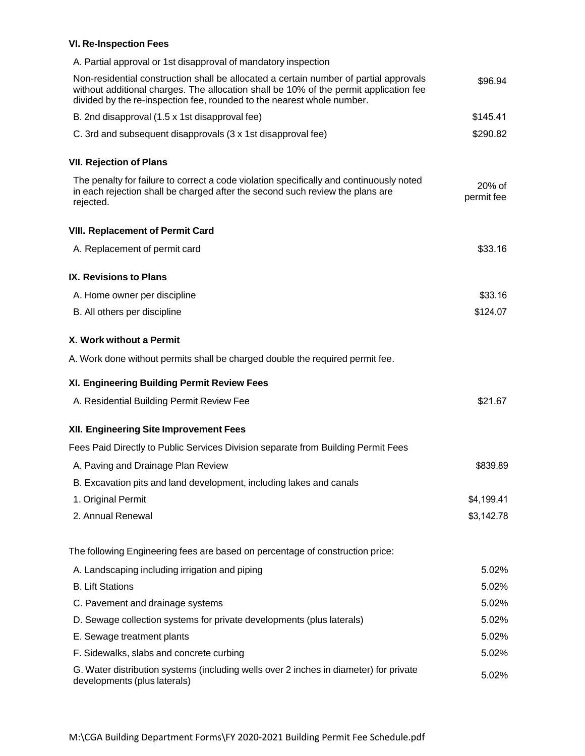## **VI. Re-Inspection Fees**

| A. Partial approval or 1st disapproval of mandatory inspection                                                                                                                                                                                           |                      |
|----------------------------------------------------------------------------------------------------------------------------------------------------------------------------------------------------------------------------------------------------------|----------------------|
| Non-residential construction shall be allocated a certain number of partial approvals<br>without additional charges. The allocation shall be 10% of the permit application fee<br>divided by the re-inspection fee, rounded to the nearest whole number. | \$96.94              |
| B. 2nd disapproval (1.5 x 1st disapproval fee)                                                                                                                                                                                                           | \$145.41             |
| C. 3rd and subsequent disapprovals (3 x 1st disapproval fee)                                                                                                                                                                                             | \$290.82             |
| <b>VII. Rejection of Plans</b>                                                                                                                                                                                                                           |                      |
| The penalty for failure to correct a code violation specifically and continuously noted<br>in each rejection shall be charged after the second such review the plans are<br>rejected.                                                                    | 20% of<br>permit fee |
| <b>VIII. Replacement of Permit Card</b>                                                                                                                                                                                                                  |                      |
| A. Replacement of permit card                                                                                                                                                                                                                            | \$33.16              |
| <b>IX. Revisions to Plans</b>                                                                                                                                                                                                                            |                      |
| A. Home owner per discipline                                                                                                                                                                                                                             | \$33.16              |
| B. All others per discipline                                                                                                                                                                                                                             | \$124.07             |
| X. Work without a Permit                                                                                                                                                                                                                                 |                      |
| A. Work done without permits shall be charged double the required permit fee.                                                                                                                                                                            |                      |
| XI. Engineering Building Permit Review Fees                                                                                                                                                                                                              |                      |
| A. Residential Building Permit Review Fee                                                                                                                                                                                                                | \$21.67              |
| XII. Engineering Site Improvement Fees                                                                                                                                                                                                                   |                      |
| Fees Paid Directly to Public Services Division separate from Building Permit Fees                                                                                                                                                                        |                      |
| A. Paving and Drainage Plan Review                                                                                                                                                                                                                       | \$839.89             |
| B. Excavation pits and land development, including lakes and canals                                                                                                                                                                                      |                      |
| 1. Original Permit                                                                                                                                                                                                                                       | \$4,199.41           |
| 2. Annual Renewal                                                                                                                                                                                                                                        | \$3,142.78           |
| The following Engineering fees are based on percentage of construction price:                                                                                                                                                                            |                      |
| A. Landscaping including irrigation and piping                                                                                                                                                                                                           | 5.02%                |
| <b>B. Lift Stations</b>                                                                                                                                                                                                                                  | 5.02%                |
| C. Pavement and drainage systems                                                                                                                                                                                                                         | 5.02%                |
| D. Sewage collection systems for private developments (plus laterals)                                                                                                                                                                                    | 5.02%                |
| E. Sewage treatment plants                                                                                                                                                                                                                               | 5.02%                |
| F. Sidewalks, slabs and concrete curbing                                                                                                                                                                                                                 | 5.02%                |
| G. Water distribution systems (including wells over 2 inches in diameter) for private<br>developments (plus laterals)                                                                                                                                    | 5.02%                |